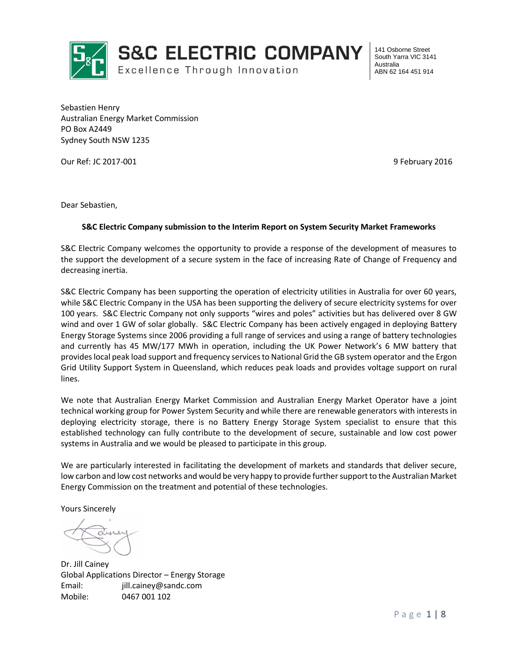

Excellence Through Innovation

141 Osborne Street South Yarra VIC 3141 Australia ABN 62 164 451 914

Sebastien Henry Australian Energy Market Commission PO Box A2449 Sydney South NSW 1235

Our Ref: JC 2017-001 2016 2018 2018 2019 2018 2019 2018 2019 2018

Dear Sebastien,

#### **S&C Electric Company submission to the Interim Report on System Security Market Frameworks**

S&C Electric Company welcomes the opportunity to provide a response of the development of measures to the support the development of a secure system in the face of increasing Rate of Change of Frequency and decreasing inertia.

S&C Electric Company has been supporting the operation of electricity utilities in Australia for over 60 years, while S&C Electric Company in the USA has been supporting the delivery of secure electricity systems for over 100 years. S&C Electric Company not only supports "wires and poles" activities but has delivered over 8 GW wind and over 1 GW of solar globally. S&C Electric Company has been actively engaged in deploying Battery Energy Storage Systems since 2006 providing a full range of services and using a range of battery technologies and currently has 45 MW/177 MWh in operation, including the UK Power Network's 6 MW battery that provides local peak load support and frequency services to National Grid the GB system operator and the Ergon Grid Utility Support System in Queensland, which reduces peak loads and provides voltage support on rural lines.

We note that Australian Energy Market Commission and Australian Energy Market Operator have a joint technical working group for Power System Security and while there are renewable generators with interests in deploying electricity storage, there is no Battery Energy Storage System specialist to ensure that this established technology can fully contribute to the development of secure, sustainable and low cost power systems in Australia and we would be pleased to participate in this group.

We are particularly interested in facilitating the development of markets and standards that deliver secure, low carbon and low cost networks and would be very happy to provide further support to the Australian Market Energy Commission on the treatment and potential of these technologies.

Yours Sincerely

Dr. Jill Cainey Global Applications Director – Energy Storage Email: jill.cainey@sandc.com Mobile: 0467 001 102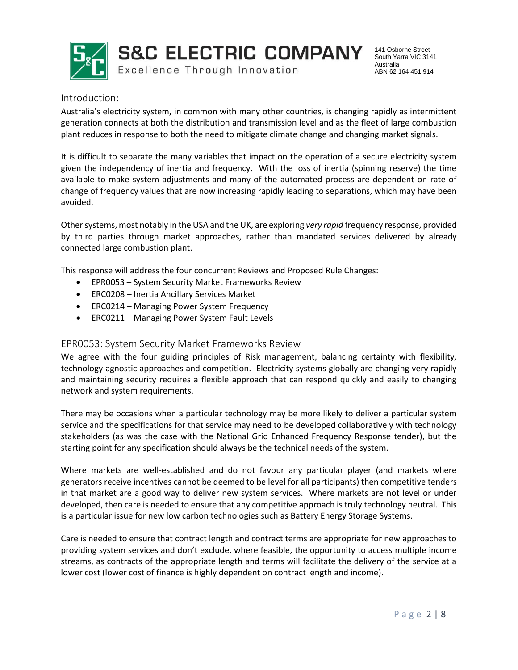

**S&C ELECTRIC COMPANY** Excellence Through Innovation

141 Osborne Street South Yarra VIC 3141 Australia ABN 62 164 451 914

#### Introduction:

Australia's electricity system, in common with many other countries, is changing rapidly as intermittent generation connects at both the distribution and transmission level and as the fleet of large combustion plant reduces in response to both the need to mitigate climate change and changing market signals.

It is difficult to separate the many variables that impact on the operation of a secure electricity system given the independency of inertia and frequency. With the loss of inertia (spinning reserve) the time available to make system adjustments and many of the automated process are dependent on rate of change of frequency values that are now increasing rapidly leading to separations, which may have been avoided.

Other systems, most notably in the USA and the UK, are exploring *very rapid* frequency response, provided by third parties through market approaches, rather than mandated services delivered by already connected large combustion plant.

This response will address the four concurrent Reviews and Proposed Rule Changes:

- EPR0053 System Security Market Frameworks Review
- ERC0208 Inertia Ancillary Services Market
- ERC0214 Managing Power System Frequency
- ERC0211 Managing Power System Fault Levels

#### EPR0053: System Security Market Frameworks Review

We agree with the four guiding principles of Risk management, balancing certainty with flexibility, technology agnostic approaches and competition. Electricity systems globally are changing very rapidly and maintaining security requires a flexible approach that can respond quickly and easily to changing network and system requirements.

There may be occasions when a particular technology may be more likely to deliver a particular system service and the specifications for that service may need to be developed collaboratively with technology stakeholders (as was the case with the National Grid Enhanced Frequency Response tender), but the starting point for any specification should always be the technical needs of the system.

Where markets are well-established and do not favour any particular player (and markets where generators receive incentives cannot be deemed to be level for all participants) then competitive tenders in that market are a good way to deliver new system services. Where markets are not level or under developed, then care is needed to ensure that any competitive approach is truly technology neutral. This is a particular issue for new low carbon technologies such as Battery Energy Storage Systems.

Care is needed to ensure that contract length and contract terms are appropriate for new approaches to providing system services and don't exclude, where feasible, the opportunity to access multiple income streams, as contracts of the appropriate length and terms will facilitate the delivery of the service at a lower cost (lower cost of finance is highly dependent on contract length and income).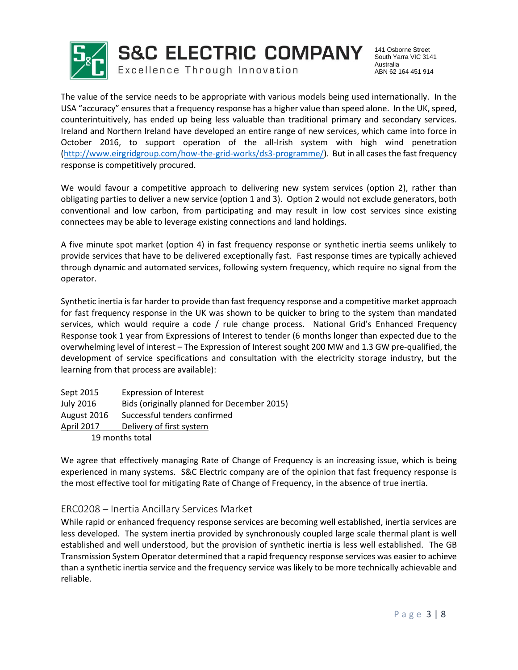

141 Osborne Street South Yarra VIC 3141 Australia ABN 62 164 451 914

The value of the service needs to be appropriate with various models being used internationally. In the USA "accuracy" ensures that a frequency response has a higher value than speed alone. In the UK, speed, counterintuitively, has ended up being less valuable than traditional primary and secondary services. Ireland and Northern Ireland have developed an entire range of new services, which came into force in October 2016, to support operation of the all-Irish system with high wind penetration [\(http://www.eirgridgroup.com/how-the-grid-works/ds3-programme/\)](http://www.eirgridgroup.com/how-the-grid-works/ds3-programme/). But in all cases the fast frequency response is competitively procured.

We would favour a competitive approach to delivering new system services (option 2), rather than obligating parties to deliver a new service (option 1 and 3). Option 2 would not exclude generators, both conventional and low carbon, from participating and may result in low cost services since existing connectees may be able to leverage existing connections and land holdings.

A five minute spot market (option 4) in fast frequency response or synthetic inertia seems unlikely to provide services that have to be delivered exceptionally fast. Fast response times are typically achieved through dynamic and automated services, following system frequency, which require no signal from the operator.

Synthetic inertia is far harder to provide than fast frequency response and a competitive market approach for fast frequency response in the UK was shown to be quicker to bring to the system than mandated services, which would require a code / rule change process. National Grid's Enhanced Frequency Response took 1 year from Expressions of Interest to tender (6 months longer than expected due to the overwhelming level of interest – The Expression of Interest sought 200 MW and 1.3 GW pre-qualified, the development of service specifications and consultation with the electricity storage industry, but the learning from that process are available):

| Sept 2015       | <b>Expression of Interest</b>               |  |  |
|-----------------|---------------------------------------------|--|--|
| July 2016       | Bids (originally planned for December 2015) |  |  |
| August 2016     | Successful tenders confirmed                |  |  |
| April 2017      | Delivery of first system                    |  |  |
| 19 months total |                                             |  |  |

We agree that effectively managing Rate of Change of Frequency is an increasing issue, which is being experienced in many systems. S&C Electric company are of the opinion that fast frequency response is the most effective tool for mitigating Rate of Change of Frequency, in the absence of true inertia.

## ERC0208 – Inertia Ancillary Services Market

While rapid or enhanced frequency response services are becoming well established, inertia services are less developed. The system inertia provided by synchronously coupled large scale thermal plant is well established and well understood, but the provision of synthetic inertia is less well established. The GB Transmission System Operator determined that a rapid frequency response services was easier to achieve than a synthetic inertia service and the frequency service was likely to be more technically achievable and reliable.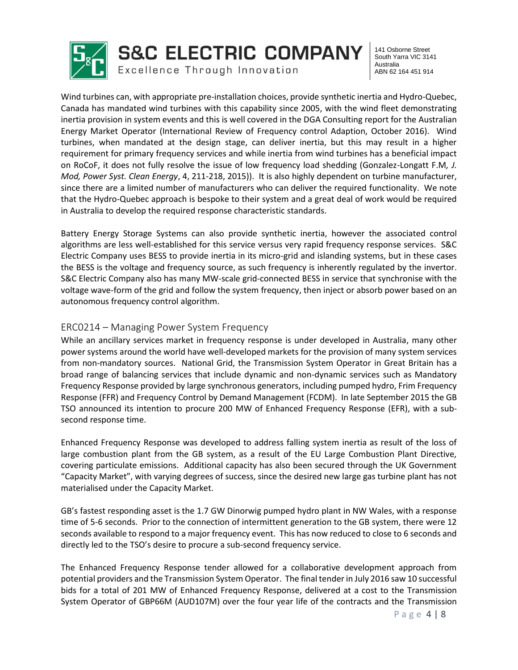

Excellence Through Innovation

141 Osborne Street South Yarra VIC 3141 Australia ABN 62 164 451 914

Wind turbines can, with appropriate pre-installation choices, provide synthetic inertia and Hydro-Quebec, Canada has mandated wind turbines with this capability since 2005, with the wind fleet demonstrating inertia provision in system events and this is well covered in the DGA Consulting report for the Australian Energy Market Operator (International Review of Frequency control Adaption, October 2016). Wind turbines, when mandated at the design stage, can deliver inertia, but this may result in a higher requirement for primary frequency services and while inertia from wind turbines has a beneficial impact on RoCoF, it does not fully resolve the issue of low frequency load shedding (Gonzalez-Longatt F.M*, J. Mod, Power Syst. Clean Energy*, 4, 211-218, 2015)). It is also highly dependent on turbine manufacturer, since there are a limited number of manufacturers who can deliver the required functionality. We note that the Hydro-Quebec approach is bespoke to their system and a great deal of work would be required in Australia to develop the required response characteristic standards.

Battery Energy Storage Systems can also provide synthetic inertia, however the associated control algorithms are less well-established for this service versus very rapid frequency response services. S&C Electric Company uses BESS to provide inertia in its micro-grid and islanding systems, but in these cases the BESS is the voltage and frequency source, as such frequency is inherently regulated by the invertor. S&C Electric Company also has many MW-scale grid-connected BESS in service that synchronise with the voltage wave-form of the grid and follow the system frequency, then inject or absorb power based on an autonomous frequency control algorithm.

### ERC0214 – Managing Power System Frequency

While an ancillary services market in frequency response is under developed in Australia, many other power systems around the world have well-developed markets for the provision of many system services from non-mandatory sources. National Grid, the Transmission System Operator in Great Britain has a broad range of balancing services that include dynamic and non-dynamic services such as Mandatory Frequency Response provided by large synchronous generators, including pumped hydro, Frim Frequency Response (FFR) and Frequency Control by Demand Management (FCDM). In late September 2015 the GB TSO announced its intention to procure 200 MW of Enhanced Frequency Response (EFR), with a subsecond response time.

Enhanced Frequency Response was developed to address falling system inertia as result of the loss of large combustion plant from the GB system, as a result of the EU Large Combustion Plant Directive, covering particulate emissions. Additional capacity has also been secured through the UK Government "Capacity Market", with varying degrees of success, since the desired new large gas turbine plant has not materialised under the Capacity Market.

GB's fastest responding asset is the 1.7 GW Dinorwig pumped hydro plant in NW Wales, with a response time of 5-6 seconds. Prior to the connection of intermittent generation to the GB system, there were 12 seconds available to respond to a major frequency event. This has now reduced to close to 6 seconds and directly led to the TSO's desire to procure a sub-second frequency service.

The Enhanced Frequency Response tender allowed for a collaborative development approach from potential providers and the Transmission System Operator. The final tender in July 2016 saw 10 successful bids for a total of 201 MW of Enhanced Frequency Response, delivered at a cost to the Transmission System Operator of GBP66M (AUD107M) over the four year life of the contracts and the Transmission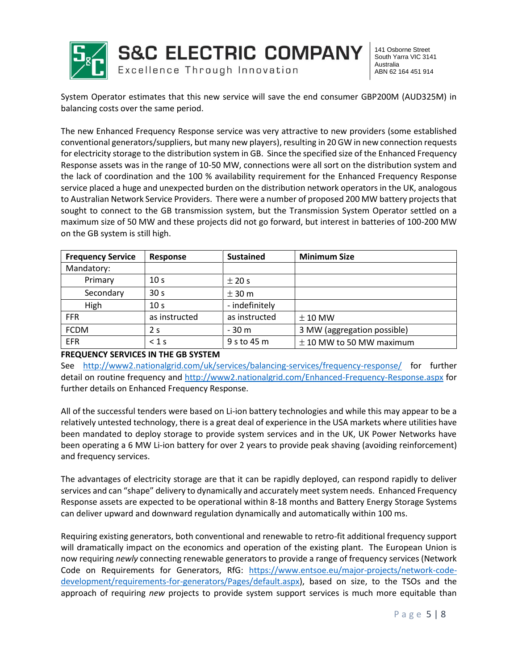

141 Osborne Street South Yarra VIC 3141 Australia ABN 62 164 451 914

System Operator estimates that this new service will save the end consumer GBP200M (AUD325M) in balancing costs over the same period.

The new Enhanced Frequency Response service was very attractive to new providers (some established conventional generators/suppliers, but many new players), resulting in 20 GW in new connection requests for electricity storage to the distribution system in GB. Since the specified size of the Enhanced Frequency Response assets was in the range of 10-50 MW, connections were all sort on the distribution system and the lack of coordination and the 100 % availability requirement for the Enhanced Frequency Response service placed a huge and unexpected burden on the distribution network operators in the UK, analogous to Australian Network Service Providers. There were a number of proposed 200 MW battery projects that sought to connect to the GB transmission system, but the Transmission System Operator settled on a maximum size of 50 MW and these projects did not go forward, but interest in batteries of 100-200 MW on the GB system is still high.

| <b>Frequency Service</b> | Response        | <b>Sustained</b> | <b>Minimum Size</b>          |
|--------------------------|-----------------|------------------|------------------------------|
| Mandatory:               |                 |                  |                              |
| Primary                  | 10 <sub>s</sub> | $\pm$ 20 s       |                              |
| Secondary                | 30 <sub>s</sub> | ± 30 m           |                              |
| High                     | 10 <sub>s</sub> | - indefinitely   |                              |
| <b>FFR</b>               | as instructed   | as instructed    | $\pm$ 10 MW                  |
| <b>FCDM</b>              | 2 s             | $-30m$           | 3 MW (aggregation possible)  |
| EFR                      | $< 1$ s         | 9 s to 45 m      | $\pm$ 10 MW to 50 MW maximum |

#### **FREQUENCY SERVICES IN THE GB SYSTEM**

See <http://www2.nationalgrid.com/uk/services/balancing-services/frequency-response/> for further detail on routine frequency and<http://www2.nationalgrid.com/Enhanced-Frequency-Response.aspx> for further details on Enhanced Frequency Response.

All of the successful tenders were based on Li-ion battery technologies and while this may appear to be a relatively untested technology, there is a great deal of experience in the USA markets where utilities have been mandated to deploy storage to provide system services and in the UK, UK Power Networks have been operating a 6 MW Li-ion battery for over 2 years to provide peak shaving (avoiding reinforcement) and frequency services.

The advantages of electricity storage are that it can be rapidly deployed, can respond rapidly to deliver services and can "shape" delivery to dynamically and accurately meet system needs. Enhanced Frequency Response assets are expected to be operational within 8-18 months and Battery Energy Storage Systems can deliver upward and downward regulation dynamically and automatically within 100 ms.

Requiring existing generators, both conventional and renewable to retro-fit additional frequency support will dramatically impact on the economics and operation of the existing plant. The European Union is now requiring *newly* connecting renewable generators to provide a range of frequency services (Network Code on Requirements for Generators, RfG: [https://www.entsoe.eu/major-projects/network-code](https://www.entsoe.eu/major-projects/network-code-development/requirements-for-generators/Pages/default.aspx)[development/requirements-for-generators/Pages/default.aspx\)](https://www.entsoe.eu/major-projects/network-code-development/requirements-for-generators/Pages/default.aspx), based on size, to the TSOs and the approach of requiring *new* projects to provide system support services is much more equitable than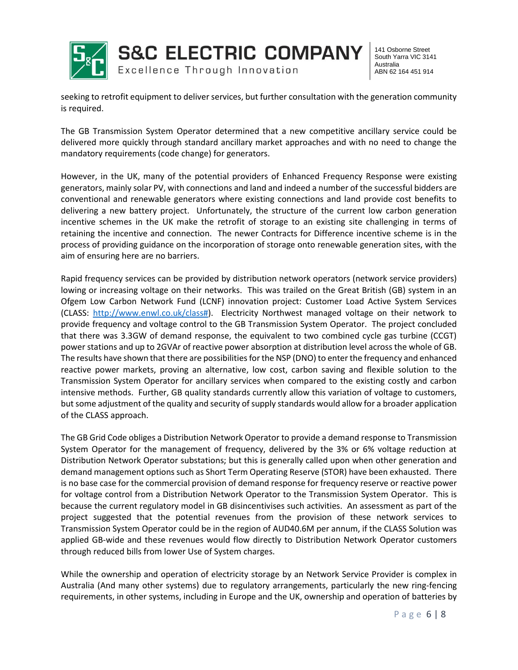

141 Osborne Street South Yarra VIC 3141 Australia ABN 62 164 451 914

seeking to retrofit equipment to deliver services, but further consultation with the generation community is required.

The GB Transmission System Operator determined that a new competitive ancillary service could be delivered more quickly through standard ancillary market approaches and with no need to change the mandatory requirements (code change) for generators.

However, in the UK, many of the potential providers of Enhanced Frequency Response were existing generators, mainly solar PV, with connections and land and indeed a number of the successful bidders are conventional and renewable generators where existing connections and land provide cost benefits to delivering a new battery project. Unfortunately, the structure of the current low carbon generation incentive schemes in the UK make the retrofit of storage to an existing site challenging in terms of retaining the incentive and connection. The newer Contracts for Difference incentive scheme is in the process of providing guidance on the incorporation of storage onto renewable generation sites, with the aim of ensuring here are no barriers.

Rapid frequency services can be provided by distribution network operators (network service providers) lowing or increasing voltage on their networks. This was trailed on the Great British (GB) system in an Ofgem Low Carbon Network Fund (LCNF) innovation project: Customer Load Active System Services (CLASS: [http://www.enwl.co.uk/class#\)](http://www.enwl.co.uk/class). Electricity Northwest managed voltage on their network to provide frequency and voltage control to the GB Transmission System Operator. The project concluded that there was 3.3GW of demand response, the equivalent to two combined cycle gas turbine (CCGT) power stations and up to 2GVAr of reactive power absorption at distribution level across the whole of GB. The results have shown that there are possibilities for the NSP (DNO) to enter the frequency and enhanced reactive power markets, proving an alternative, low cost, carbon saving and flexible solution to the Transmission System Operator for ancillary services when compared to the existing costly and carbon intensive methods. Further, GB quality standards currently allow this variation of voltage to customers, but some adjustment of the quality and security of supply standards would allow for a broader application of the CLASS approach.

The GB Grid Code obliges a Distribution Network Operator to provide a demand response to Transmission System Operator for the management of frequency, delivered by the 3% or 6% voltage reduction at Distribution Network Operator substations; but this is generally called upon when other generation and demand management options such as Short Term Operating Reserve (STOR) have been exhausted. There is no base case for the commercial provision of demand response for frequency reserve or reactive power for voltage control from a Distribution Network Operator to the Transmission System Operator. This is because the current regulatory model in GB disincentivises such activities. An assessment as part of the project suggested that the potential revenues from the provision of these network services to Transmission System Operator could be in the region of AUD40.6M per annum, if the CLASS Solution was applied GB-wide and these revenues would flow directly to Distribution Network Operator customers through reduced bills from lower Use of System charges.

While the ownership and operation of electricity storage by an Network Service Provider is complex in Australia (And many other systems) due to regulatory arrangements, particularly the new ring-fencing requirements, in other systems, including in Europe and the UK, ownership and operation of batteries by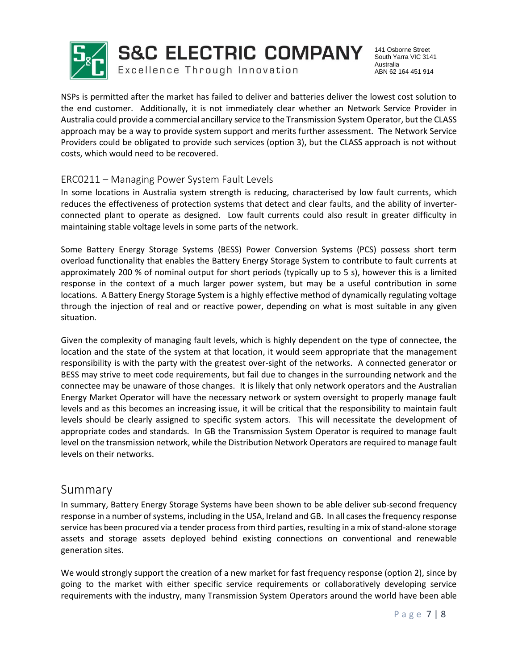

Excellence Through Innovation

141 Osborne Street South Yarra VIC 3141 Australia ABN 62 164 451 914

NSPs is permitted after the market has failed to deliver and batteries deliver the lowest cost solution to the end customer. Additionally, it is not immediately clear whether an Network Service Provider in Australia could provide a commercial ancillary service to the Transmission System Operator, but the CLASS approach may be a way to provide system support and merits further assessment. The Network Service Providers could be obligated to provide such services (option 3), but the CLASS approach is not without costs, which would need to be recovered.

## ERC0211 – Managing Power System Fault Levels

In some locations in Australia system strength is reducing, characterised by low fault currents, which reduces the effectiveness of protection systems that detect and clear faults, and the ability of inverterconnected plant to operate as designed. Low fault currents could also result in greater difficulty in maintaining stable voltage levels in some parts of the network.

Some Battery Energy Storage Systems (BESS) Power Conversion Systems (PCS) possess short term overload functionality that enables the Battery Energy Storage System to contribute to fault currents at approximately 200 % of nominal output for short periods (typically up to 5 s), however this is a limited response in the context of a much larger power system, but may be a useful contribution in some locations. A Battery Energy Storage System is a highly effective method of dynamically regulating voltage through the injection of real and or reactive power, depending on what is most suitable in any given situation.

Given the complexity of managing fault levels, which is highly dependent on the type of connectee, the location and the state of the system at that location, it would seem appropriate that the management responsibility is with the party with the greatest over-sight of the networks. A connected generator or BESS may strive to meet code requirements, but fail due to changes in the surrounding network and the connectee may be unaware of those changes. It is likely that only network operators and the Australian Energy Market Operator will have the necessary network or system oversight to properly manage fault levels and as this becomes an increasing issue, it will be critical that the responsibility to maintain fault levels should be clearly assigned to specific system actors. This will necessitate the development of appropriate codes and standards. In GB the Transmission System Operator is required to manage fault level on the transmission network, while the Distribution Network Operators are required to manage fault levels on their networks.

# Summary

In summary, Battery Energy Storage Systems have been shown to be able deliver sub-second frequency response in a number of systems, including in the USA, Ireland and GB. In all cases the frequency response service has been procured via a tender process from third parties, resulting in a mix of stand-alone storage assets and storage assets deployed behind existing connections on conventional and renewable generation sites.

We would strongly support the creation of a new market for fast frequency response (option 2), since by going to the market with either specific service requirements or collaboratively developing service requirements with the industry, many Transmission System Operators around the world have been able